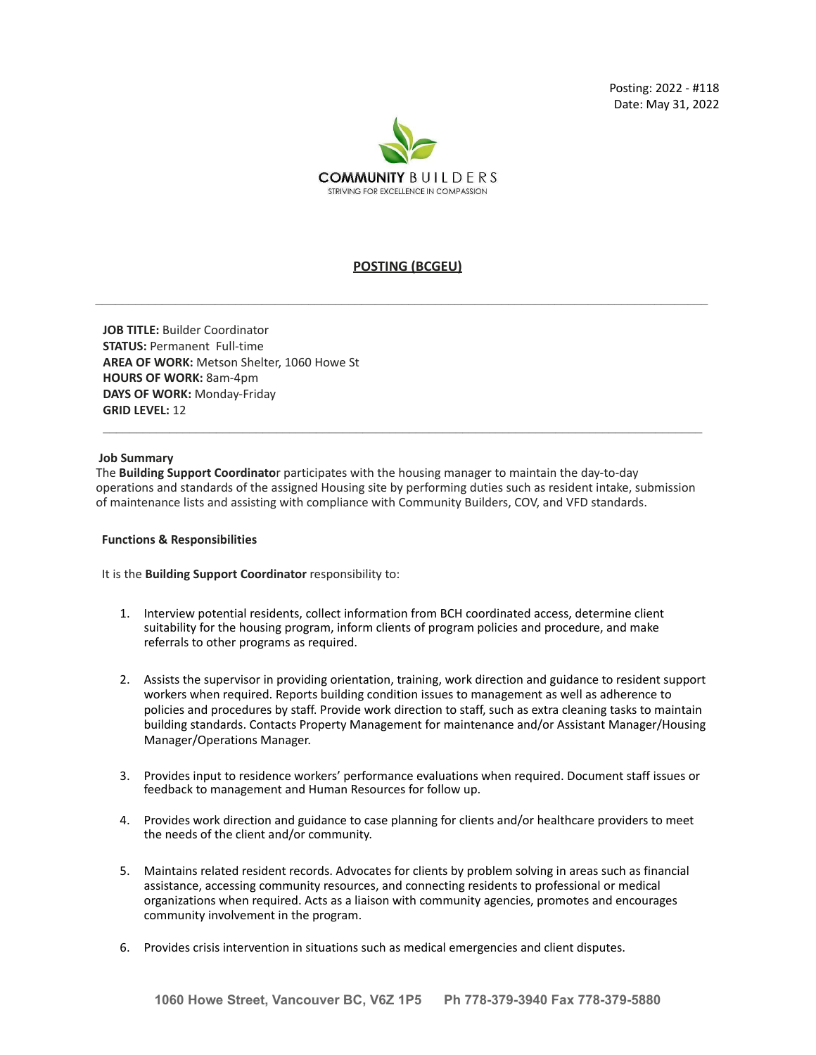

# **POSTING (BCGEU)**

**JOB TITLE:** Builder Coordinator **STATUS:** Permanent Full-time **AREA OF WORK:** Metson Shelter, 1060 Howe St **HOURS OF WORK:** 8am-4pm **DAYS OF WORK:** Monday-Friday **GRID LEVEL:** 12

#### **Job Summary**

The **Building Support Coordinato**r participates with the housing manager to maintain the day-to-day operations and standards of the assigned Housing site by performing duties such as resident intake, submission of maintenance lists and assisting with compliance with Community Builders, COV, and VFD standards.

 $\mathcal{L}_\mathcal{L} = \{ \mathcal{L}_\mathcal{L} = \{ \mathcal{L}_\mathcal{L} = \{ \mathcal{L}_\mathcal{L} = \{ \mathcal{L}_\mathcal{L} = \{ \mathcal{L}_\mathcal{L} = \{ \mathcal{L}_\mathcal{L} = \{ \mathcal{L}_\mathcal{L} = \{ \mathcal{L}_\mathcal{L} = \{ \mathcal{L}_\mathcal{L} = \{ \mathcal{L}_\mathcal{L} = \{ \mathcal{L}_\mathcal{L} = \{ \mathcal{L}_\mathcal{L} = \{ \mathcal{L}_\mathcal{L} = \{ \mathcal{L}_\mathcal{$ 

#### **Functions & Responsibilities**

It is the **Building Support Coordinator** responsibility to:

- 1. Interview potential residents, collect information from BCH coordinated access, determine client suitability for the housing program, inform clients of program policies and procedure, and make referrals to other programs as required.
- 2. Assists the supervisor in providing orientation, training, work direction and guidance to resident support workers when required. Reports building condition issues to management as well as adherence to policies and procedures by staff. Provide work direction to staff, such as extra cleaning tasks to maintain building standards. Contacts Property Management for maintenance and/or Assistant Manager/Housing Manager/Operations Manager.
- 3. Provides input to residence workers' performance evaluations when required. Document staff issues or feedback to management and Human Resources for follow up.
- 4. Provides work direction and guidance to case planning for clients and/or healthcare providers to meet the needs of the client and/or community.
- 5. Maintains related resident records. Advocates for clients by problem solving in areas such as financial assistance, accessing community resources, and connecting residents to professional or medical organizations when required. Acts as a liaison with community agencies, promotes and encourages community involvement in the program.
- 6. Provides crisis intervention in situations such as medical emergencies and client disputes.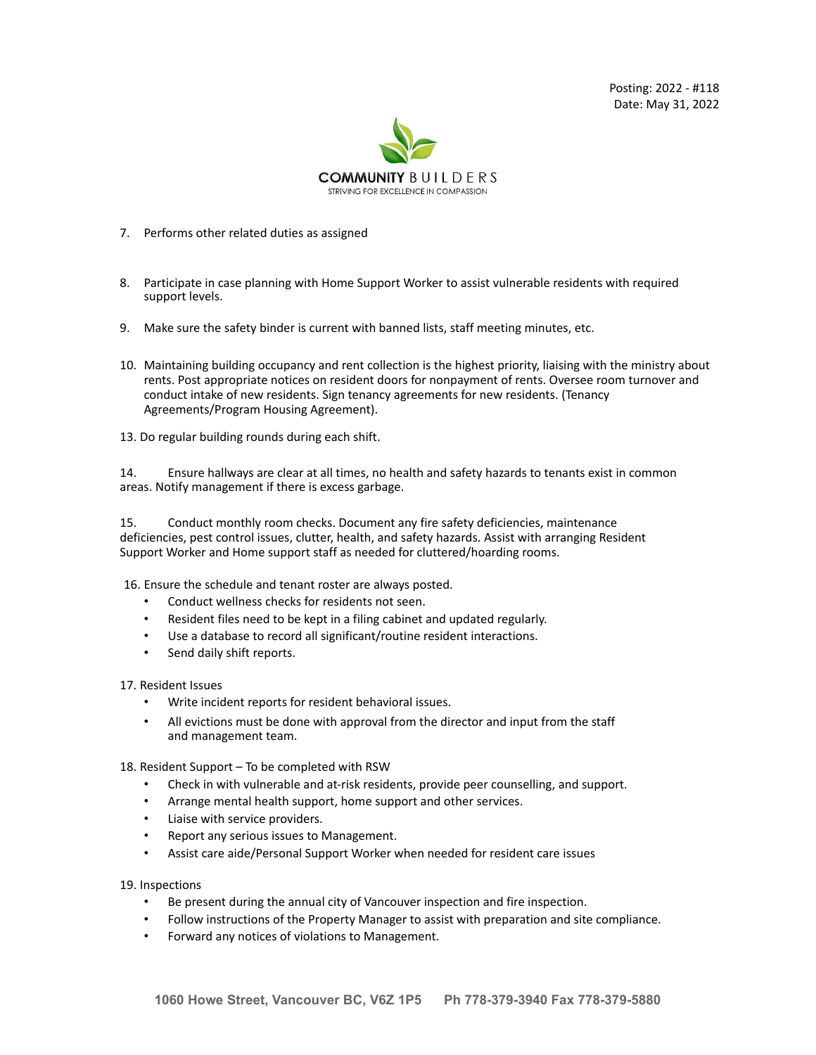Posting: 2022 - #118 Date: May 31, 2022



- 7. Performs other related duties as assigned
- 8. Participate in case planning with Home Support Worker to assist vulnerable residents with required support levels.
- 9. Make sure the safety binder is current with banned lists, staff meeting minutes, etc.
- 10. Maintaining building occupancy and rent collection is the highest priority, liaising with the ministry about rents. Post appropriate notices on resident doors for nonpayment of rents. Oversee room turnover and conduct intake of new residents. Sign tenancy agreements for new residents. (Tenancy Agreements/Program Housing Agreement).
- 13. Do regular building rounds during each shift.

14. Ensure hallways are clear at all times, no health and safety hazards to tenants exist in common areas. Notify management if there is excess garbage.

15. Conduct monthly room checks. Document any fire safety deficiencies, maintenance deficiencies, pest control issues, clutter, health, and safety hazards. Assist with arranging Resident Support Worker and Home support staff as needed for cluttered/hoarding rooms.

16. Ensure the schedule and tenant roster are always posted.

- Conduct wellness checks for residents not seen.
- Resident files need to be kept in a filing cabinet and updated regularly.
- Use a database to record all significant/routine resident interactions.
- Send daily shift reports.

17. Resident Issues

- Write incident reports for resident behavioral issues.
- All evictions must be done with approval from the director and input from the staff and management team.

18. Resident Support – To be completed with RSW

- Check in with vulnerable and at-risk residents, provide peer counselling, and support.
- Arrange mental health support, home support and other services.
- Liaise with service providers.
- Report any serious issues to Management.
- Assist care aide/Personal Support Worker when needed for resident care issues

19. Inspections

- Be present during the annual city of Vancouver inspection and fire inspection.
- Follow instructions of the Property Manager to assist with preparation and site compliance.
- Forward any notices of violations to Management.